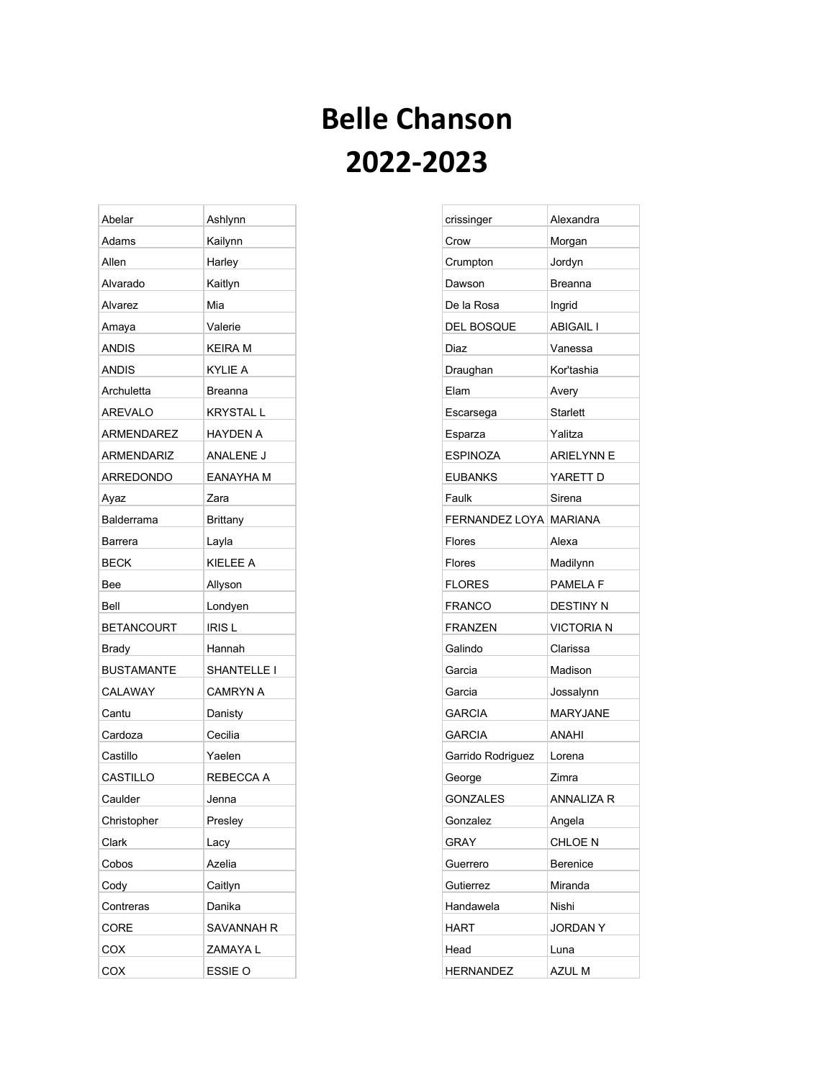## **Belle Chanson 2022-2023**

| Abelar            | Ashlynn          |
|-------------------|------------------|
| Adams             | Kailynn          |
| Allen             | Harley           |
| Alvarado          | Kaitlyn          |
| Alvarez           | Mia              |
| Amaya             | Valerie          |
| <b>ANDIS</b>      | <b>KEIRA M</b>   |
| ANDIS             | KYLIE A          |
| Archuletta        | Breanna          |
| <b>AREVALO</b>    | <b>KRYSTAL L</b> |
| ARMENDAREZ        | HAYDEN A         |
| ARMENDARIZ        | ANALENE J        |
| ARREDONDO         | <b>EANAYHA M</b> |
| Ayaz              | Zara             |
| Balderrama        | Brittany         |
| Barrera           | Layla            |
| <b>BECK</b>       | KIELEE A         |
| Bee               | Allyson          |
| Bell              | Londyen          |
| <b>BETANCOURT</b> | <b>IRISL</b>     |
| <b>Brady</b>      | Hannah           |
| <b>BUSTAMANTE</b> | SHANTELLE I      |
| CALAWAY           | <b>CAMRYN A</b>  |
| Cantu             | Danisty          |
| Cardoza           | Cecilia          |
| Castillo          | Yaelen           |
| CASTILLO          | REBECCA A        |
| Caulder           | Jenna            |
| Christopher       | Presley          |
| Clark             | Lacy             |
| Cobos             | Azelia           |
| Cody              | Caitlyn          |
| Contreras         | Danika           |
| CORE              | SAVANNAH R       |
| COX               | ZAMAYA L         |
| COX               | ESSIE O          |

| crissinger             | Alexandra         |
|------------------------|-------------------|
| Crow                   | Morgan            |
| Crumpton               | Jordyn            |
| Dawson                 | Breanna           |
| De la Rosa             | Ingrid            |
| <b>DEL BOSQUE</b>      | <b>ABIGAIL I</b>  |
| Diaz                   | Vanessa           |
| Draughan               | Kor'tashia        |
| Elam                   | Avery             |
| Escarsega              | Starlett          |
| Esparza                | Yalitza           |
| ESPINOZA               | <b>ARIELYNN E</b> |
| <b>EUBANKS</b>         | YARETT D          |
| Faulk                  | Sirena            |
| FERNANDEZ LOYA MARIANA |                   |
| Flores                 | Alexa             |
| Flores                 | Madilynn          |
| <b>FLORES</b>          | PAMELA F          |
| <b>FRANCO</b>          | <b>DESTINY N</b>  |
|                        |                   |
| <b>FRANZEN</b>         | <b>VICTORIA N</b> |
| Galindo                | Clarissa          |
| Garcia                 | Madison           |
| Garcia                 | Jossalynn         |
| GARCIA                 | <b>MARYJANE</b>   |
| <b>GARCIA</b>          | ANAHI             |
| Garrido Rodriguez      | Lorena            |
| George                 | Zimra             |
| GONZALES               | <b>ANNALIZA R</b> |
| Gonzalez               | Angela            |
| GRAY                   | CHLOE N           |
| Guerrero               | <b>Berenice</b>   |
| Gutierrez              | Miranda           |
| Handawela              | Nishi             |
| HART                   | <b>JORDANY</b>    |
| Head                   | Luna              |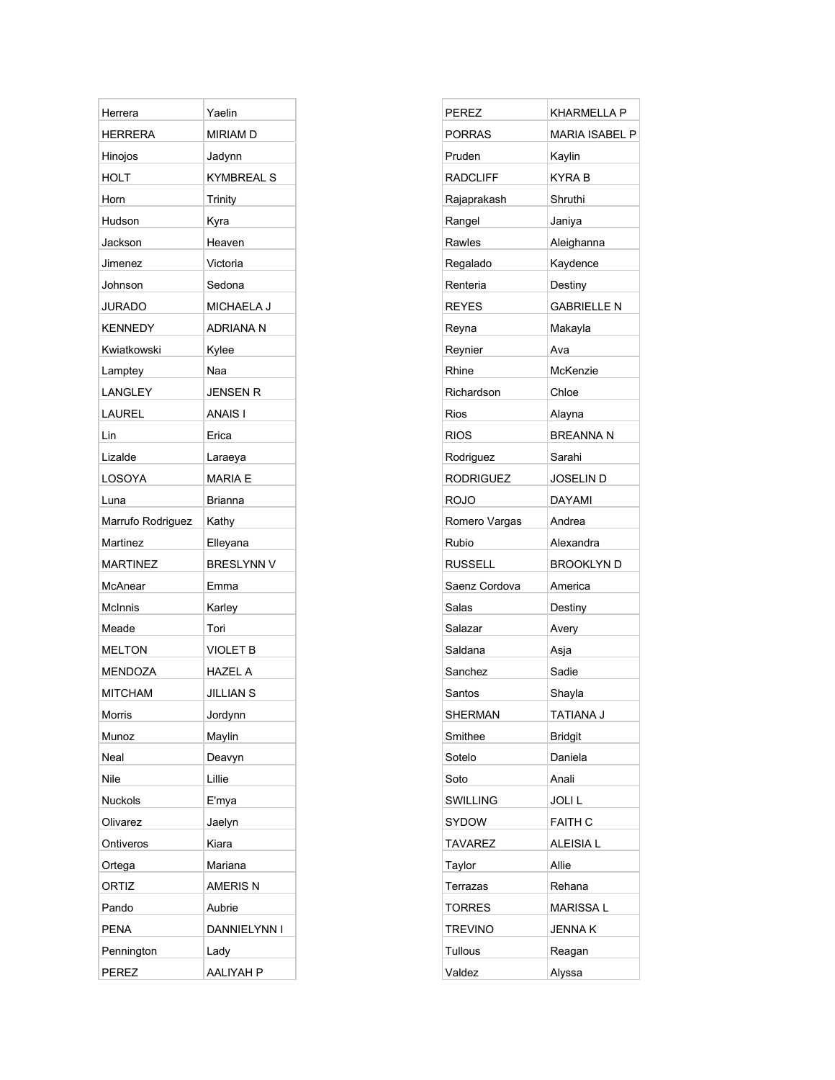| Herrera           | Yaelin            |
|-------------------|-------------------|
| <b>HERRERA</b>    | MIRIAM D          |
| Hinojos           | Jadynn            |
| <b>HOLT</b>       | <b>KYMBREAL S</b> |
| Horn              | Trinity           |
| Hudson            | Kyra              |
| Jackson           | Heaven            |
| Jimenez           | Victoria          |
| Johnson           | Sedona            |
| <b>JURADO</b>     | MICHAELA J        |
| <b>KENNEDY</b>    | ADRIANA N         |
| Kwiatkowski       | Kylee             |
| Lamptey           | Naa               |
| LANGLEY           | <b>JENSEN R</b>   |
| LAUREL            | <b>ANAISI</b>     |
| Lin               | Erica             |
| Lizalde           | Laraeya           |
| LOSOYA            | MARIA E           |
| Luna              | Brianna           |
| Marrufo Rodriguez | Kathy             |
| Martinez          | Elleyana          |
| MARTINEZ          | <b>BRESLYNN V</b> |
| McAnear           | Emma              |
| <b>McInnis</b>    | Karley            |
| Meade             | Tori              |
| <b>MELTON</b>     | <b>VIOLET B</b>   |
| MENDOZA           | <b>HAZEL A</b>    |
| <b>MITCHAM</b>    | <b>JILLIAN S</b>  |
| Morris            | Jordynn           |
| Munoz             | Maylin            |
| Neal              | Deavyn            |
| Nile              | Lillie            |
| Nuckols           | E'mya             |
| Olivarez          | Jaelyn            |
| Ontiveros         | Kiara             |
| Ortega            | Mariana           |
| ORTIZ             | AMERIS N          |
| Pando             | Aubrie            |
| PENA              | DANNIELYNN I      |
| Pennington        | Lady              |
| <b>PEREZ</b>      | AALIYAH P         |

| PEREZ            | KHARMELLA P        |
|------------------|--------------------|
| <b>PORRAS</b>    | MARIA ISABEL P     |
| Pruden           | Kaylin             |
| <b>RADCLIFF</b>  | <b>KYRA B</b>      |
| Rajaprakash      | Shruthi            |
| Rangel           | Janiya             |
| Rawles           | Aleighanna         |
| Regalado         | Kaydence           |
| Renteria         | Destiny            |
| <b>REYES</b>     | <b>GABRIELLE N</b> |
| Reyna            | Makayla            |
| Reynier          | Ava                |
| Rhine            | McKenzie           |
| Richardson       | Chloe              |
| Rios             | Alayna             |
| RIOS             | <b>BREANNAN</b>    |
| Rodriguez        | Sarahi             |
| <b>RODRIGUEZ</b> | <b>JOSELIN D</b>   |
| ROJO             | <b>DAYAMI</b>      |
| Romero Vargas    | Andrea             |
| Rubio            | Alexandra          |
| RUSSELL          | BROOKLYN D         |
| Saenz Cordova    | America            |
| Salas            | Destiny            |
| Salazar          | Avery              |
| Saldana          | Asja               |
| Sanchez          | Sadie              |
| Santos           | Shayla             |
| <b>SHERMAN</b>   | <b>TATIANA J</b>   |
| Smithee          | <b>Bridgit</b>     |
| Sotelo           | Daniela            |
| Soto             | Anali              |
| <b>SWILLING</b>  | <b>JOLIL</b>       |
| SYDOW            | <b>FAITH C</b>     |
| <b>TAVAREZ</b>   | <b>ALEISIA L</b>   |
| Taylor           | Allie              |
| Terrazas         | Rehana             |
| <b>TORRES</b>    | <b>MARISSAL</b>    |
| <b>TREVINO</b>   | <b>JENNA K</b>     |
| Tullous          | Reagan             |
| Valdez           | Alyssa             |